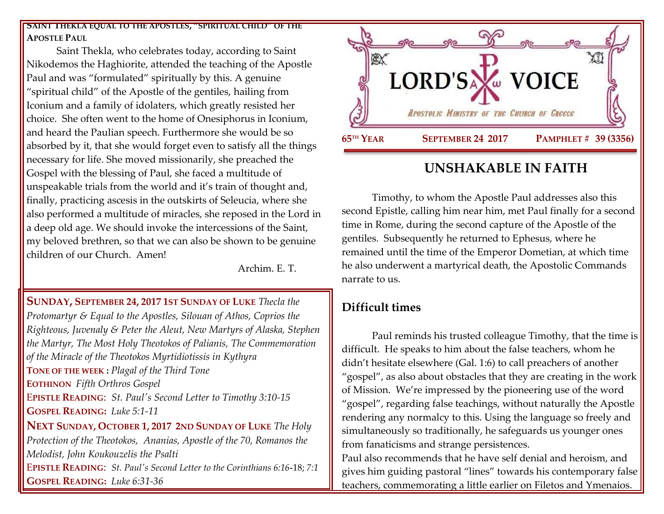#### **SAINT THEKLA EQUAL TO THE APOSTLES, "SPIRITUAL CHILD" OF THE APOSTLE PAUL**

Saint Thekla, who celebrates today, according to Saint Nikodemos the Haghiorite, attended the teaching of the Apostle Paul and was "formulated" spiritually by this. A genuine "spiritual child" of the Apostle of the gentiles, hailing from Iconium and a family of idolaters, which greatly resisted her choice. She often went to the home of Onesiphorus in Iconium, and heard the Paulian speech. Furthermore she would be so absorbed by it, that she would forget even to satisfy all the things necessary for life. She moved missionarily, she preached the Gospel with the blessing of Paul, she faced a multitude of unspeakable trials from the world and it's train of thought and, finally, practicing ascesis in the outskirts of Seleucia, where she also performed a multitude of miracles, she reposed in the Lord in a deep old age. We should invoke the intercessions of the Saint, my beloved brethren, so that we can also be shown to be genuine children of our Church. Amen!

Archim. E. T.

**SUNDAY, SEPTEMBER 24, 2017 1ST SUNDAY OF LUKE** *Thecla the Protomartyr & Equal to the Apostles, Silouan of Athos, Coprios the Righteous, Juvenaly & Peter the Aleut, New Martyrs of Alaska, Stephen the Martyr, The Most Holy Theotokos of Palianis, The Commemoration of the Miracle of the Theotokos Myrtidiotissis in Kythyra* **TONE OF THE WEEK :** *Plagal of the Third Tone* **EOTHINON** *Fifth Orthros Gospel* E**PISTLE READING**: *[St. Paul's Second Letter to Timothy 3:10-15](https://www.goarch.org/chapel/lectionary?type=epistle&code=27&event=940&date=5/28/2017)*  **GOSPEL R[EADING](https://www.goarch.org/chapel/lectionary?type=gospel&code=43&event=940&date=5/28/2017):** *Luke 5:1-11* **NEXT SUNDAY, OCTOBER 1, 2017 2ND S[UNDAY OF](https://www.goarch.org/chapel/saints?contentid=1066&PCode=2LS&D=S&date=10/1/2017) LUKE** *The Holy Protection of the Theotokos, Ananias, Apostle of the 70, Romanos the Melodist, John Koukouzelis the Psalti* E**PISTLE READING**: *[St. Paul's Second Letter to the Corinthians 6:16](https://www.goarch.org/chapel/lectionary?type=epistle&code=27&event=940&date=5/28/2017)***-**18; *7:1* **GOSPEL R[EADING](https://www.goarch.org/chapel/lectionary?type=gospel&code=43&event=940&date=5/28/2017):** *Luke 6:31-36*



# **UNSHAKABLE IN FAITH**

Timothy, to whom the Apostle Paul addresses also this second Epistle, calling him near him, met Paul finally for a second time in Rome, during the second capture of the Apostle of the gentiles. Subsequently he returned to Ephesus, where he remained until the time of the Emperor Dometian, at which time he also underwent a martyrical death, the Apostolic Commands narrate to us.

## **Difficult times**

Paul reminds his trusted colleague Timothy, that the time is difficult. He speaks to him about the false teachers, whom he didn't hesitate elsewhere (Gal. 1:6) to call preachers of another "gospel", as also about obstacles that they are creating in the work of Mission. We're impressed by the pioneering use of the word "gospel", regarding false teachings, without naturally the Apostle rendering any normalcy to this. Using the language so freely and simultaneously so traditionally, he safeguards us younger ones from fanaticisms and strange persistences.

Paul also recommends that he have self denial and heroism, and gives him guiding pastoral "lines" towards his contemporary false teachers, commemorating a little earlier on Filetos and Ymenaios.